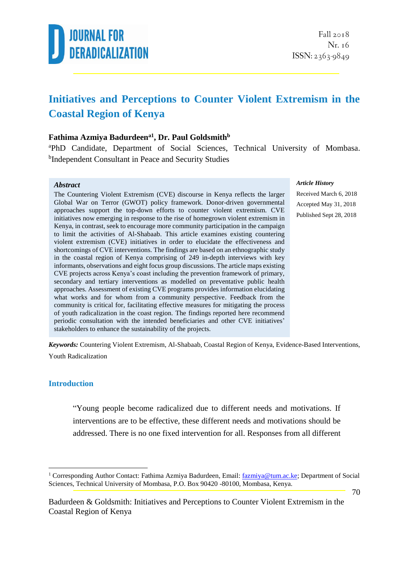

### **Initiatives and Perceptions to Counter Violent Extremism in the Coastal Region of Kenya**

#### **Fathima Azmiya Badurdeena1 , Dr. Paul Goldsmith<sup>b</sup>**

<sup>a</sup>PhD Candidate, Department of Social Sciences, Technical University of Mombasa. <sup>b</sup>Independent Consultant in Peace and Security Studies

#### *Abstract*

The Countering Violent Extremism (CVE) discourse in Kenya reflects the larger Global War on Terror (GWOT) policy framework. Donor-driven governmental approaches support the top-down efforts to counter violent extremism. CVE initiatives now emerging in response to the rise of homegrown violent extremism in Kenya, in contrast, seek to encourage more community participation in the campaign to limit the activities of Al-Shabaab. This article examines existing countering violent extremism (CVE) initiatives in order to elucidate the effectiveness and shortcomings of CVE interventions. The findings are based on an ethnographic study in the coastal region of Kenya comprising of 249 in-depth interviews with key informants, observations and eight focus group discussions. The article maps existing CVE projects across Kenya's coast including the prevention framework of primary, secondary and tertiary interventions as modelled on preventative public health approaches. Assessment of existing CVE programs provides information elucidating what works and for whom from a community perspective. Feedback from the community is critical for, facilitating effective measures for mitigating the process of youth radicalization in the coast region. The findings reported here recommend periodic consultation with the intended beneficiaries and other CVE initiatives' stakeholders to enhance the sustainability of the projects.

#### *Article History*

Received March 6, 2018 Accepted May 31, 2018 Published Sept 28, 2018

*Keywords:* Countering Violent Extremism, Al-Shabaab, Coastal Region of Kenya, Evidence-Based Interventions, Youth Radicalization

#### **Introduction**

1

"Young people become radicalized due to different needs and motivations. If interventions are to be effective, these different needs and motivations should be addressed. There is no one fixed intervention for all. Responses from all different

<sup>&</sup>lt;sup>1</sup> Corresponding Author Contact: Fathima Azmiya Badurdeen, Email[: fazmiya@tum.ac.ke;](mailto:fazmiya@tum.ac.ke) Department of Social Sciences, Technical University of Mombasa, P.O. Box 90420 -80100, Mombasa, Kenya.

Badurdeen & Goldsmith: Initiatives and Perceptions to Counter Violent Extremism in the Coastal Region of Kenya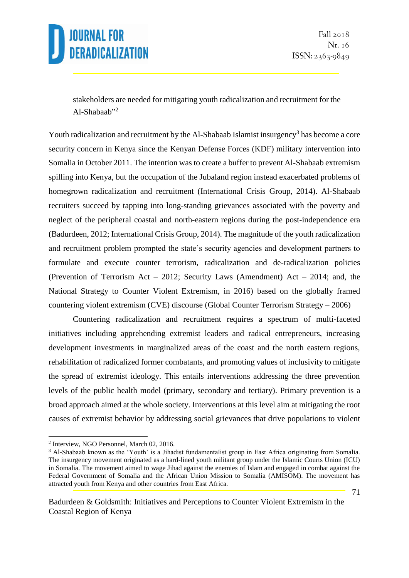

Fall 2018 Nr. 16 ISSN: 2363-9849

stakeholders are needed for mitigating youth radicalization and recruitment for the Al-Shabaab"<sup>2</sup>

Youth radicalization and recruitment by the Al-Shabaab Islamist insurgency<sup>3</sup> has become a core security concern in Kenya since the Kenyan Defense Forces (KDF) military intervention into Somalia in October 2011. The intention was to create a buffer to prevent Al-Shabaab extremism spilling into Kenya, but the occupation of the Jubaland region instead exacerbated problems of homegrown radicalization and recruitment (International Crisis Group, 2014). Al-Shabaab recruiters succeed by tapping into long-standing grievances associated with the poverty and neglect of the peripheral coastal and north-eastern regions during the post-independence era (Badurdeen, 2012; International Crisis Group, 2014). The magnitude of the youth radicalization and recruitment problem prompted the state's security agencies and development partners to formulate and execute counter terrorism, radicalization and de-radicalization policies (Prevention of Terrorism Act – 2012; Security Laws (Amendment) Act – 2014; and, the National Strategy to Counter Violent Extremism, in 2016) based on the globally framed countering violent extremism (CVE) discourse (Global Counter Terrorism Strategy – 2006)

Countering radicalization and recruitment requires a spectrum of multi-faceted initiatives including apprehending extremist leaders and radical entrepreneurs, increasing development investments in marginalized areas of the coast and the north eastern regions, rehabilitation of radicalized former combatants, and promoting values of inclusivity to mitigate the spread of extremist ideology. This entails interventions addressing the three prevention levels of the public health model (primary, secondary and tertiary). Primary prevention is a broad approach aimed at the whole society. Interventions at this level aim at mitigating the root causes of extremist behavior by addressing social grievances that drive populations to violent

<sup>2</sup> Interview, NGO Personnel, March 02, 2016.

<sup>&</sup>lt;sup>3</sup> Al-Shabaab known as the 'Youth' is a Jihadist fundamentalist group in East Africa originating from Somalia. The insurgency movement originated as a hard-lined youth militant group under the Islamic Courts Union (ICU) in Somalia. The movement aimed to wage Jihad against the enemies of Islam and engaged in combat against the Federal Government of Somalia and the African Union Mission to Somalia (AMISOM). The movement has attracted youth from Kenya and other countries from East Africa.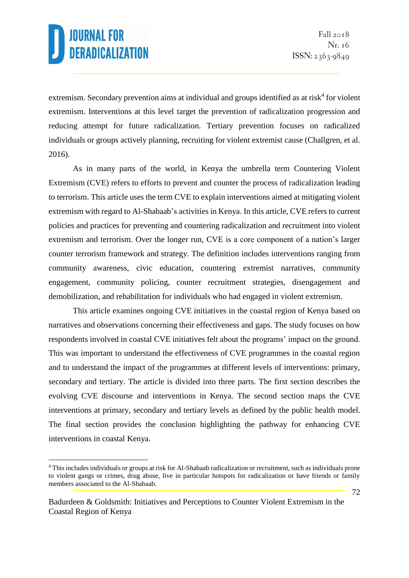<u>.</u>

extremism. Secondary prevention aims at individual and groups identified as at risk $4$  for violent extremism. Interventions at this level target the prevention of radicalization progression and reducing attempt for future radicalization. Tertiary prevention focuses on radicalized individuals or groups actively planning, recruiting for violent extremist cause (Challgren, et al. 2016).

As in many parts of the world, in Kenya the umbrella term Countering Violent Extremism (CVE) refers to efforts to prevent and counter the process of radicalization leading to terrorism. This article uses the term CVE to explain interventions aimed at mitigating violent extremism with regard to Al-Shabaab's activities in Kenya. In this article, CVE refers to current policies and practices for preventing and countering radicalization and recruitment into violent extremism and terrorism. Over the longer run, CVE is a core component of a nation's larger counter terrorism framework and strategy. The definition includes interventions ranging from community awareness, civic education, countering extremist narratives, community engagement, community policing, counter recruitment strategies, disengagement and demobilization, and rehabilitation for individuals who had engaged in violent extremism.

This article examines ongoing CVE initiatives in the coastal region of Kenya based on narratives and observations concerning their effectiveness and gaps. The study focuses on how respondents involved in coastal CVE initiatives felt about the programs' impact on the ground. This was important to understand the effectiveness of CVE programmes in the coastal region and to understand the impact of the programmes at different levels of interventions: primary, secondary and tertiary. The article is divided into three parts. The first section describes the evolving CVE discourse and interventions in Kenya. The second section maps the CVE interventions at primary, secondary and tertiary levels as defined by the public health model. The final section provides the conclusion highlighting the pathway for enhancing CVE interventions in coastal Kenya.

<sup>4</sup> This includes individuals or groups at risk for Al-Shabaab radicalization or recruitment, such as individuals prone to violent gangs or crimes, drug abuse, live in particular hotspots for radicalization or have friends or family members associated to the Al-Shabaab.

Badurdeen & Goldsmith: Initiatives and Perceptions to Counter Violent Extremism in the Coastal Region of Kenya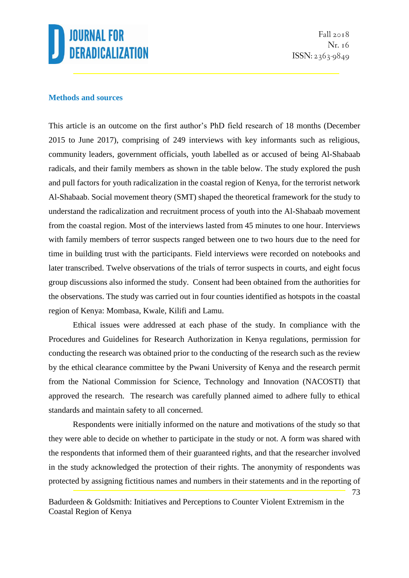

Fall 2018 Nr. 16 ISSN: 2363-9849

73

#### **Methods and sources**

This article is an outcome on the first author's PhD field research of 18 months (December 2015 to June 2017), comprising of 249 interviews with key informants such as religious, community leaders, government officials, youth labelled as or accused of being Al-Shabaab radicals, and their family members as shown in the table below. The study explored the push and pull factors for youth radicalization in the coastal region of Kenya, for the terrorist network Al-Shabaab. Social movement theory (SMT) shaped the theoretical framework for the study to understand the radicalization and recruitment process of youth into the Al-Shabaab movement from the coastal region. Most of the interviews lasted from 45 minutes to one hour. Interviews with family members of terror suspects ranged between one to two hours due to the need for time in building trust with the participants. Field interviews were recorded on notebooks and later transcribed. Twelve observations of the trials of terror suspects in courts, and eight focus group discussions also informed the study. Consent had been obtained from the authorities for the observations. The study was carried out in four counties identified as hotspots in the coastal region of Kenya: Mombasa, Kwale, Kilifi and Lamu.

Ethical issues were addressed at each phase of the study. In compliance with the Procedures and Guidelines for Research Authorization in Kenya regulations, permission for conducting the research was obtained prior to the conducting of the research such as the review by the ethical clearance committee by the Pwani University of Kenya and the research permit from the National Commission for Science, Technology and Innovation (NACOSTI) that approved the research. The research was carefully planned aimed to adhere fully to ethical standards and maintain safety to all concerned.

Respondents were initially informed on the nature and motivations of the study so that they were able to decide on whether to participate in the study or not. A form was shared with the respondents that informed them of their guaranteed rights, and that the researcher involved in the study acknowledged the protection of their rights. The anonymity of respondents was protected by assigning fictitious names and numbers in their statements and in the reporting of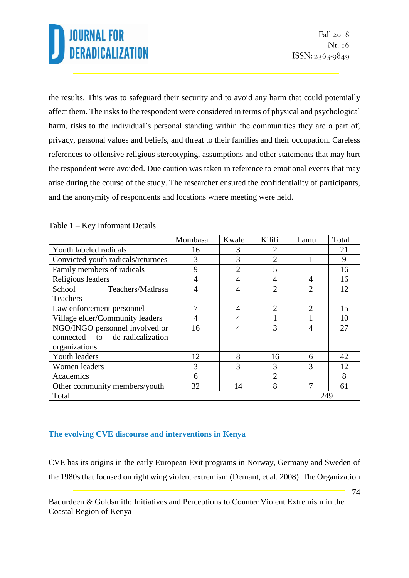the results. This was to safeguard their security and to avoid any harm that could potentially affect them. The risks to the respondent were considered in terms of physical and psychological harm, risks to the individual's personal standing within the communities they are a part of, privacy, personal values and beliefs, and threat to their families and their occupation. Careless references to offensive religious stereotyping, assumptions and other statements that may hurt the respondent were avoided. Due caution was taken in reference to emotional events that may arise during the course of the study. The researcher ensured the confidentiality of participants, and the anonymity of respondents and locations where meeting were held.

|                                    | Mombasa        | Kwale          | Kilifi         | Lamu                        | Total |
|------------------------------------|----------------|----------------|----------------|-----------------------------|-------|
| Youth labeled radicals             | 16             | 3              | $\overline{2}$ |                             | 21    |
| Convicted youth radicals/returnees | 3              | 3              | $\overline{2}$ |                             | 9     |
| Family members of radicals         | 9              | $\overline{2}$ | 5              |                             | 16    |
| Religious leaders                  | $\overline{4}$ | 4              | $\overline{4}$ | $\overline{4}$              | 16    |
| School<br>Teachers/Madrasa         | 4              | 4              | $\overline{2}$ | $\mathcal{D}_{\mathcal{L}}$ | 12    |
| <b>Teachers</b>                    |                |                |                |                             |       |
| Law enforcement personnel          | 7              | 4              | $\overline{2}$ | $\mathcal{D}_{\mathcal{L}}$ | 15    |
| Village elder/Community leaders    | 4              |                | 1              |                             | 10    |
| NGO/INGO personnel involved or     | 16             | 4              | 3              | 4                           | 27    |
| connected to de-radicalization     |                |                |                |                             |       |
| organizations                      |                |                |                |                             |       |
| Youth leaders                      | 12             | 8              | 16             | 6                           | 42    |
| Women leaders                      | 3              | 3              | 3              | 3                           | 12    |
| Academics                          | 6              |                | $\overline{2}$ |                             | 8     |
| Other community members/youth      | 32             | 14             | 8              |                             | 61    |
| Total                              |                |                |                | 249                         |       |

#### Table 1 – Key Informant Details

### **The evolving CVE discourse and interventions in Kenya**

CVE has its origins in the early European Exit programs in Norway, Germany and Sweden of the 1980s that focused on right wing violent extremism (Demant, et al. 2008). The Organization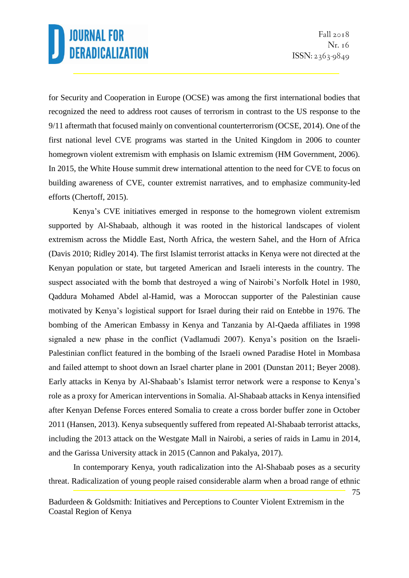for Security and Cooperation in Europe (OCSE) was among the first international bodies that recognized the need to address root causes of terrorism in contrast to the US response to the 9/11 aftermath that focused mainly on conventional counterterrorism (OCSE, 2014). One of the first national level CVE programs was started in the United Kingdom in 2006 to counter homegrown violent extremism with emphasis on Islamic extremism (HM Government, 2006). In 2015, the White House summit drew international attention to the need for CVE to focus on building awareness of CVE, counter extremist narratives, and to emphasize community-led efforts (Chertoff, 2015).

Kenya's CVE initiatives emerged in response to the homegrown violent extremism supported by Al-Shabaab, although it was rooted in the historical landscapes of violent extremism across the Middle East, North Africa, the western Sahel, and the Horn of Africa (Davis 2010; Ridley 2014). The first Islamist terrorist attacks in Kenya were not directed at the Kenyan population or state, but targeted American and Israeli interests in the country. The suspect associated with the bomb that destroyed a wing of Nairobi's Norfolk Hotel in 1980, Qaddura Mohamed Abdel al-Hamid, was a Moroccan supporter of the Palestinian cause motivated by Kenya's logistical support for Israel during their raid on Entebbe in 1976. The bombing of the American Embassy in Kenya and Tanzania by Al-Qaeda affiliates in 1998 signaled a new phase in the conflict (Vadlamudi 2007). Kenya's position on the Israeli-Palestinian conflict featured in the bombing of the Israeli owned Paradise Hotel in Mombasa and failed attempt to shoot down an Israel charter plane in 2001 (Dunstan 2011; Beyer 2008). Early attacks in Kenya by Al-Shabaab's Islamist terror network were a response to Kenya's role as a proxy for American interventions in Somalia. Al-Shabaab attacks in Kenya intensified after Kenyan Defense Forces entered Somalia to create a cross border buffer zone in October 2011 (Hansen, 2013). Kenya subsequently suffered from repeated Al-Shabaab terrorist attacks, including the 2013 attack on the Westgate Mall in Nairobi, a series of raids in Lamu in 2014, and the Garissa University attack in 2015 (Cannon and Pakalya, 2017).

In contemporary Kenya, youth radicalization into the Al-Shabaab poses as a security threat. Radicalization of young people raised considerable alarm when a broad range of ethnic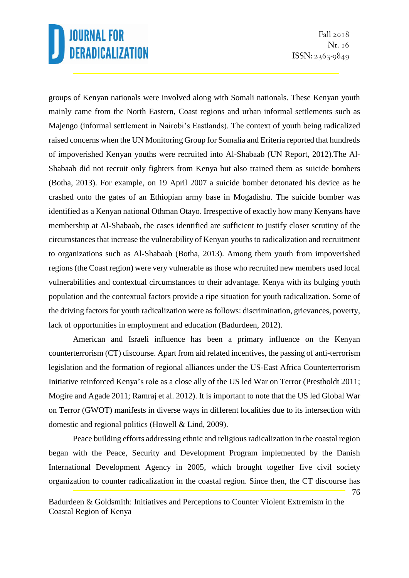Fall  $2018$ Nr. 16 ISSN: 2363-9849

groups of Kenyan nationals were involved along with Somali nationals. These Kenyan youth mainly came from the North Eastern, Coast regions and urban informal settlements such as Majengo (informal settlement in Nairobi's Eastlands). The context of youth being radicalized raised concerns when the UN Monitoring Group for Somalia and Eriteria reported that hundreds of impoverished Kenyan youths were recruited into Al-Shabaab (UN Report, 2012).The Al-Shabaab did not recruit only fighters from Kenya but also trained them as suicide bombers (Botha, 2013). For example, on 19 April 2007 a suicide bomber detonated his device as he crashed onto the gates of an Ethiopian army base in Mogadishu. The suicide bomber was identified as a Kenyan national Othman Otayo. Irrespective of exactly how many Kenyans have membership at Al-Shabaab, the cases identified are sufficient to justify closer scrutiny of the circumstances that increase the vulnerability of Kenyan youths to radicalization and recruitment to organizations such as Al-Shabaab (Botha, 2013). Among them youth from impoverished regions (the Coast region) were very vulnerable as those who recruited new members used local vulnerabilities and contextual circumstances to their advantage. Kenya with its bulging youth population and the contextual factors provide a ripe situation for youth radicalization. Some of the driving factors for youth radicalization were as follows: discrimination, grievances, poverty, lack of opportunities in employment and education (Badurdeen, 2012).

American and Israeli influence has been a primary influence on the Kenyan counterterrorism (CT) discourse. Apart from aid related incentives, the passing of anti-terrorism legislation and the formation of regional alliances under the US-East Africa Counterterrorism Initiative reinforced Kenya's role as a close ally of the US led War on Terror (Prestholdt 2011; Mogire and Agade 2011; Ramraj et al. 2012). It is important to note that the US led Global War on Terror (GWOT) manifests in diverse ways in different localities due to its intersection with domestic and regional politics (Howell & Lind, 2009).

Peace building efforts addressing ethnic and religious radicalization in the coastal region began with the Peace, Security and Development Program implemented by the Danish International Development Agency in 2005, which brought together five civil society organization to counter radicalization in the coastal region. Since then, the CT discourse has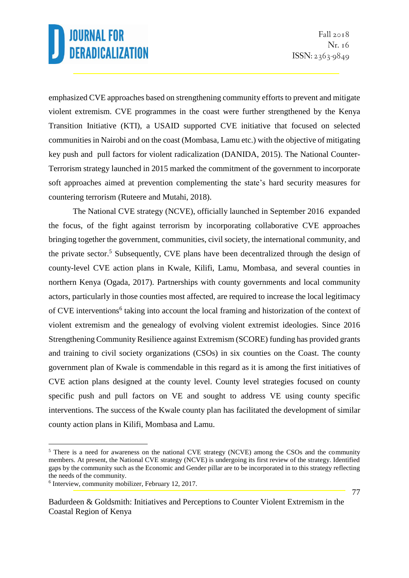emphasized CVE approaches based on strengthening community efforts to prevent and mitigate violent extremism. CVE programmes in the coast were further strengthened by the Kenya Transition Initiative (KTI), a USAID supported CVE initiative that focused on selected communities in Nairobi and on the coast (Mombasa, Lamu etc.) with the objective of mitigating key push and pull factors for violent radicalization (DANIDA, 2015). The National Counter-Terrorism strategy launched in 2015 marked the commitment of the government to incorporate soft approaches aimed at prevention complementing the state's hard security measures for countering terrorism (Ruteere and Mutahi, 2018).

The National CVE strategy (NCVE), officially launched in September 2016 expanded the focus, of the fight against terrorism by incorporating collaborative CVE approaches bringing together the government, communities, civil society, the international community, and the private sector. <sup>5</sup> Subsequently, CVE plans have been decentralized through the design of county-level CVE action plans in Kwale, Kilifi, Lamu, Mombasa, and several counties in northern Kenya (Ogada, 2017). Partnerships with county governments and local community actors, particularly in those counties most affected, are required to increase the local legitimacy of CVE interventions<sup>6</sup> taking into account the local framing and historization of the context of violent extremism and the genealogy of evolving violent extremist ideologies. Since 2016 Strengthening Community Resilience against Extremism (SCORE) funding has provided grants and training to civil society organizations (CSOs) in six counties on the Coast. The county government plan of Kwale is commendable in this regard as it is among the first initiatives of CVE action plans designed at the county level. County level strategies focused on county specific push and pull factors on VE and sought to address VE using county specific interventions. The success of the Kwale county plan has facilitated the development of similar county action plans in Kilifi, Mombasa and Lamu.

<sup>&</sup>lt;sup>5</sup> There is a need for awareness on the national CVE strategy (NCVE) among the CSOs and the community members. At present, the National CVE strategy (NCVE) is undergoing its first review of the strategy. Identified gaps by the community such as the Economic and Gender pillar are to be incorporated in to this strategy reflecting the needs of the community.

<sup>6</sup> Interview, community mobilizer, February 12, 2017.

Badurdeen & Goldsmith: Initiatives and Perceptions to Counter Violent Extremism in the Coastal Region of Kenya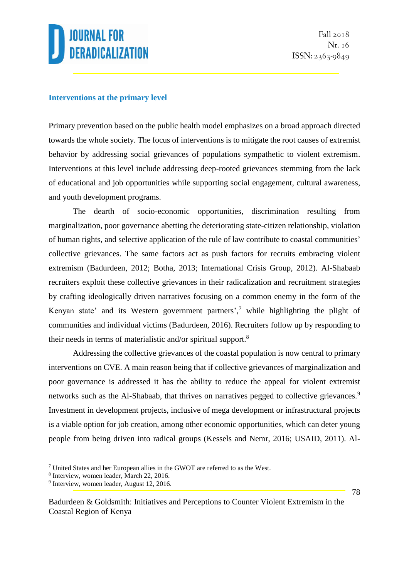### **Interventions at the primary level**

Primary prevention based on the public health model emphasizes on a broad approach directed towards the whole society. The focus of interventions is to mitigate the root causes of extremist behavior by addressing social grievances of populations sympathetic to violent extremism. Interventions at this level include addressing deep-rooted grievances stemming from the lack of educational and job opportunities while supporting social engagement, cultural awareness, and youth development programs.

The dearth of socio-economic opportunities, discrimination resulting from marginalization, poor governance abetting the deteriorating state-citizen relationship, violation of human rights, and selective application of the rule of law contribute to coastal communities' collective grievances. The same factors act as push factors for recruits embracing violent extremism (Badurdeen, 2012; Botha, 2013; International Crisis Group, 2012). Al-Shabaab recruiters exploit these collective grievances in their radicalization and recruitment strategies by crafting ideologically driven narratives focusing on a common enemy in the form of the Kenyan state' and its Western government partners',<sup>7</sup> while highlighting the plight of communities and individual victims (Badurdeen, 2016). Recruiters follow up by responding to their needs in terms of materialistic and/or spiritual support.<sup>8</sup>

Addressing the collective grievances of the coastal population is now central to primary interventions on CVE. A main reason being that if collective grievances of marginalization and poor governance is addressed it has the ability to reduce the appeal for violent extremist networks such as the Al-Shabaab, that thrives on narratives pegged to collective grievances.<sup>9</sup> Investment in development projects, inclusive of mega development or infrastructural projects is a viable option for job creation, among other economic opportunities, which can deter young people from being driven into radical groups (Kessels and Nemr, 2016; USAID, 2011). Al-

<u>.</u>

<sup>7</sup> United States and her European allies in the GWOT are referred to as the West.

<sup>8</sup> Interview, women leader, March 22, 2016.

<sup>&</sup>lt;sup>9</sup> Interview, women leader, August 12, 2016.

Badurdeen & Goldsmith: Initiatives and Perceptions to Counter Violent Extremism in the Coastal Region of Kenya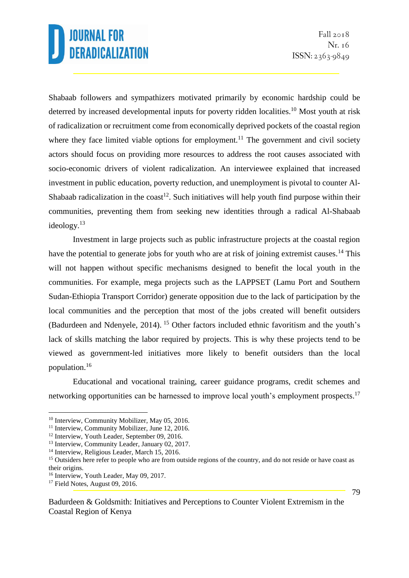Shabaab followers and sympathizers motivated primarily by economic hardship could be deterred by increased developmental inputs for poverty ridden localities.<sup>10</sup> Most youth at risk of radicalization or recruitment come from economically deprived pockets of the coastal region where they face limited viable options for employment.<sup>11</sup> The government and civil society actors should focus on providing more resources to address the root causes associated with socio-economic drivers of violent radicalization. An interviewee explained that increased investment in public education, poverty reduction, and unemployment is pivotal to counter Al-Shabaab radicalization in the coast<sup>12</sup>. Such initiatives will help youth find purpose within their communities, preventing them from seeking new identities through a radical Al-Shabaab ideology.<sup>13</sup>

Investment in large projects such as public infrastructure projects at the coastal region have the potential to generate jobs for youth who are at risk of joining extremist causes.<sup>14</sup> This will not happen without specific mechanisms designed to benefit the local youth in the communities. For example, mega projects such as the LAPPSET (Lamu Port and Southern Sudan-Ethiopia Transport Corridor) generate opposition due to the lack of participation by the local communities and the perception that most of the jobs created will benefit outsiders (Badurdeen and Ndenyele, 2014). <sup>15</sup> Other factors included ethnic favoritism and the youth's lack of skills matching the labor required by projects. This is why these projects tend to be viewed as government-led initiatives more likely to benefit outsiders than the local population.<sup>16</sup>

Educational and vocational training, career guidance programs, credit schemes and networking opportunities can be harnessed to improve local youth's employment prospects.<sup>17</sup>

<u>.</u>

<sup>&</sup>lt;sup>10</sup> Interview, Community Mobilizer, May 05, 2016.

<sup>&</sup>lt;sup>11</sup> Interview, Community Mobilizer, June 12, 2016.

<sup>&</sup>lt;sup>12</sup> Interview, Youth Leader, September 09, 2016.

<sup>&</sup>lt;sup>13</sup> Interview, Community Leader, January 02, 2017.

<sup>&</sup>lt;sup>14</sup> Interview, Religious Leader, March 15, 2016.

<sup>&</sup>lt;sup>15</sup> Outsiders here refer to people who are from outside regions of the country, and do not reside or have coast as their origins.

<sup>&</sup>lt;sup>16</sup> Interview, Youth Leader, May 09, 2017.

<sup>&</sup>lt;sup>17</sup> Field Notes, August 09, 2016.

Badurdeen & Goldsmith: Initiatives and Perceptions to Counter Violent Extremism in the Coastal Region of Kenya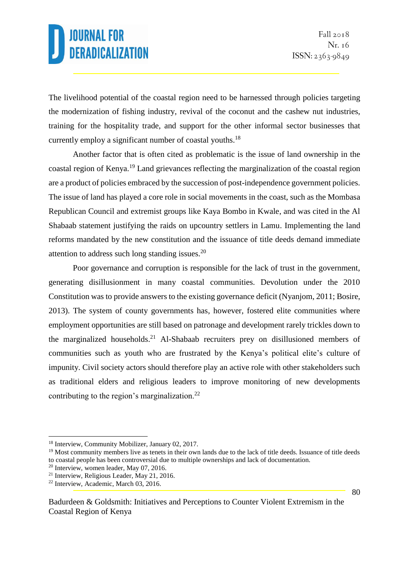The livelihood potential of the coastal region need to be harnessed through policies targeting the modernization of fishing industry, revival of the coconut and the cashew nut industries, training for the hospitality trade, and support for the other informal sector businesses that currently employ a significant number of coastal youths.<sup>18</sup>

Another factor that is often cited as problematic is the issue of land ownership in the coastal region of Kenya.<sup>19</sup> Land grievances reflecting the marginalization of the coastal region are a product of policies embraced by the succession of post-independence government policies. The issue of land has played a core role in social movements in the coast, such as the Mombasa Republican Council and extremist groups like Kaya Bombo in Kwale, and was cited in the Al Shabaab statement justifying the raids on upcountry settlers in Lamu. Implementing the land reforms mandated by the new constitution and the issuance of title deeds demand immediate attention to address such long standing issues.<sup>20</sup>

Poor governance and corruption is responsible for the lack of trust in the government, generating disillusionment in many coastal communities. Devolution under the 2010 Constitution was to provide answers to the existing governance deficit (Nyanjom, 2011; Bosire, 2013). The system of county governments has, however, fostered elite communities where employment opportunities are still based on patronage and development rarely trickles down to the marginalized households.<sup>21</sup> Al-Shabaab recruiters prey on disillusioned members of communities such as youth who are frustrated by the Kenya's political elite's culture of impunity. Civil society actors should therefore play an active role with other stakeholders such as traditional elders and religious leaders to improve monitoring of new developments contributing to the region's marginalization.<sup>22</sup>

<u>.</u>

<sup>18</sup> Interview, Community Mobilizer, January 02, 2017.

<sup>&</sup>lt;sup>19</sup> Most community members live as tenets in their own lands due to the lack of title deeds. Issuance of title deeds to coastal people has been controversial due to multiple ownerships and lack of documentation.

<sup>20</sup> Interview, women leader, May 07, 2016.

<sup>21</sup> Interview, Religious Leader, May 21, 2016.

<sup>22</sup> Interview, Academic, March 03, 2016.

Badurdeen & Goldsmith: Initiatives and Perceptions to Counter Violent Extremism in the Coastal Region of Kenya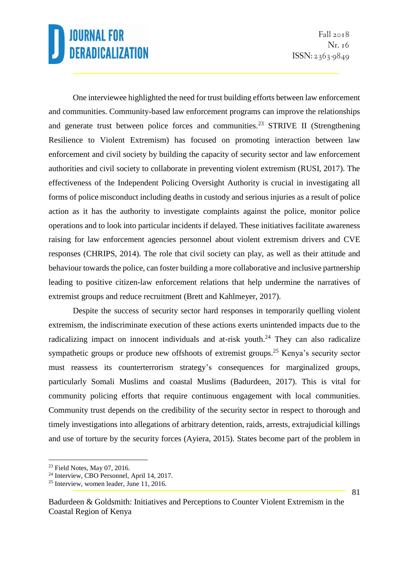One interviewee highlighted the need for trust building efforts between law enforcement and communities. Community-based law enforcement programs can improve the relationships and generate trust between police forces and communities.<sup>23</sup> STRIVE II (Strengthening Resilience to Violent Extremism) has focused on promoting interaction between law enforcement and civil society by building the capacity of security sector and law enforcement authorities and civil society to collaborate in preventing violent extremism (RUSI, 2017). The effectiveness of the Independent Policing Oversight Authority is crucial in investigating all forms of police misconduct including deaths in custody and serious injuries as a result of police action as it has the authority to investigate complaints against the police, monitor police operations and to look into particular incidents if delayed. These initiatives facilitate awareness raising for law enforcement agencies personnel about violent extremism drivers and CVE responses (CHRIPS, 2014). The role that civil society can play, as well as their attitude and behaviour towards the police, can foster building a more collaborative and inclusive partnership leading to positive citizen-law enforcement relations that help undermine the narratives of extremist groups and reduce recruitment (Brett and Kahlmeyer, 2017).

Despite the success of security sector hard responses in temporarily quelling violent extremism, the indiscriminate execution of these actions exerts unintended impacts due to the radicalizing impact on innocent individuals and at-risk youth.<sup>24</sup> They can also radicalize sympathetic groups or produce new offshoots of extremist groups.<sup>25</sup> Kenya's security sector must reassess its counterterrorism strategy's consequences for marginalized groups, particularly Somali Muslims and coastal Muslims (Badurdeen, 2017). This is vital for community policing efforts that require continuous engagement with local communities. Community trust depends on the credibility of the security sector in respect to thorough and timely investigations into allegations of arbitrary detention, raids, arrests, extrajudicial killings and use of torture by the security forces (Ayiera, 2015). States become part of the problem in

<sup>&</sup>lt;u>.</u> <sup>23</sup> Field Notes, May 07, 2016.

<sup>24</sup> Interview, CBO Personnel, April 14, 2017.

<sup>25</sup> Interview, women leader, June 11, 2016.

Badurdeen & Goldsmith: Initiatives and Perceptions to Counter Violent Extremism in the Coastal Region of Kenya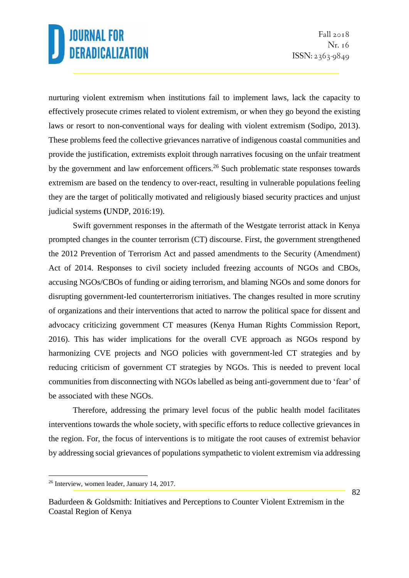nurturing violent extremism when institutions fail to implement laws, lack the capacity to effectively prosecute crimes related to violent extremism, or when they go beyond the existing laws or resort to non-conventional ways for dealing with violent extremism (Sodipo, 2013). These problems feed the collective grievances narrative of indigenous coastal communities and provide the justification, extremists exploit through narratives focusing on the unfair treatment by the government and law enforcement officers.<sup>26</sup> Such problematic state responses towards extremism are based on the tendency to over-react, resulting in vulnerable populations feeling they are the target of politically motivated and religiously biased security practices and unjust judicial systems **(**UNDP, 2016:19).

Swift government responses in the aftermath of the Westgate terrorist attack in Kenya prompted changes in the counter terrorism (CT) discourse. First, the government strengthened the 2012 Prevention of Terrorism Act and passed amendments to the Security (Amendment) Act of 2014. Responses to civil society included freezing accounts of NGOs and CBOs, accusing NGOs/CBOs of funding or aiding terrorism, and blaming NGOs and some donors for disrupting government-led counterterrorism initiatives. The changes resulted in more scrutiny of organizations and their interventions that acted to narrow the political space for dissent and advocacy criticizing government CT measures (Kenya Human Rights Commission Report, 2016). This has wider implications for the overall CVE approach as NGOs respond by harmonizing CVE projects and NGO policies with government-led CT strategies and by reducing criticism of government CT strategies by NGOs. This is needed to prevent local communities from disconnecting with NGOs labelled as being anti-government due to 'fear' of be associated with these NGOs.

Therefore, addressing the primary level focus of the public health model facilitates interventions towards the whole society, with specific efforts to reduce collective grievances in the region. For, the focus of interventions is to mitigate the root causes of extremist behavior by addressing social grievances of populations sympathetic to violent extremism via addressing

<sup>26</sup> Interview, women leader, January 14, 2017.

Badurdeen & Goldsmith: Initiatives and Perceptions to Counter Violent Extremism in the Coastal Region of Kenya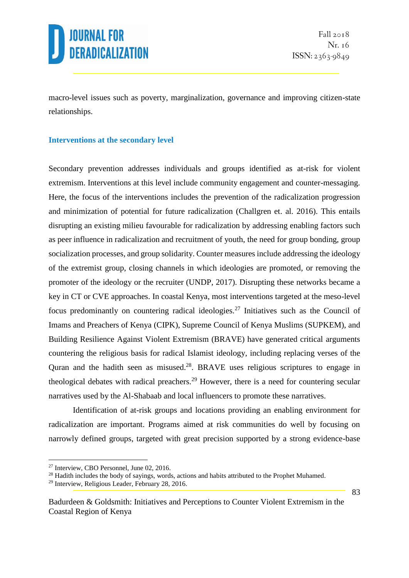

macro-level issues such as poverty, marginalization, governance and improving citizen-state relationships.

#### **Interventions at the secondary level**

Secondary prevention addresses individuals and groups identified as at-risk for violent extremism. Interventions at this level include community engagement and counter-messaging. Here, the focus of the interventions includes the prevention of the radicalization progression and minimization of potential for future radicalization (Challgren et. al. 2016). This entails disrupting an existing milieu favourable for radicalization by addressing enabling factors such as peer influence in radicalization and recruitment of youth, the need for group bonding, group socialization processes, and group solidarity. Counter measures include addressing the ideology of the extremist group, closing channels in which ideologies are promoted, or removing the promoter of the ideology or the recruiter (UNDP, 2017). Disrupting these networks became a key in CT or CVE approaches. In coastal Kenya, most interventions targeted at the meso-level focus predominantly on countering radical ideologies.<sup>27</sup> Initiatives such as the Council of Imams and Preachers of Kenya (CIPK), Supreme Council of Kenya Muslims (SUPKEM), and Building Resilience Against Violent Extremism (BRAVE) have generated critical arguments countering the religious basis for radical Islamist ideology, including replacing verses of the Quran and the hadith seen as misused.<sup>28</sup>. BRAVE uses religious scriptures to engage in theological debates with radical preachers.<sup>29</sup> However, there is a need for countering secular narratives used by the Al-Shabaab and local influencers to promote these narratives.

Identification of at-risk groups and locations providing an enabling environment for radicalization are important. Programs aimed at risk communities do well by focusing on narrowly defined groups, targeted with great precision supported by a strong evidence-base

<sup>27</sup> Interview, CBO Personnel, June 02, 2016.

<sup>&</sup>lt;sup>28</sup> Hadith includes the body of sayings, words, actions and habits attributed to the Prophet Muhamed.

<sup>29</sup> Interview, Religious Leader, February 28, 2016.

Badurdeen & Goldsmith: Initiatives and Perceptions to Counter Violent Extremism in the Coastal Region of Kenya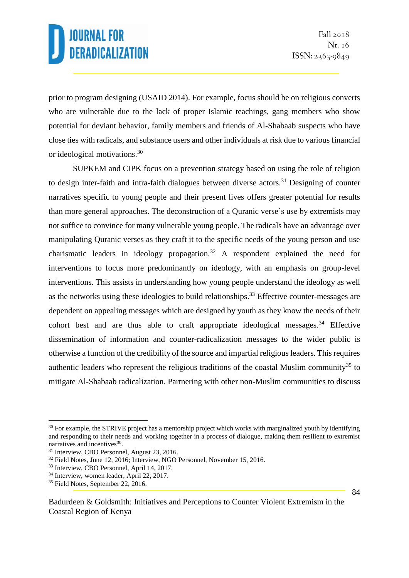prior to program designing (USAID 2014). For example, focus should be on religious converts who are vulnerable due to the lack of proper Islamic teachings, gang members who show potential for deviant behavior, family members and friends of Al-Shabaab suspects who have close ties with radicals, and substance users and other individuals at risk due to various financial or ideological motivations.<sup>30</sup>

SUPKEM and CIPK focus on a prevention strategy based on using the role of religion to design inter-faith and intra-faith dialogues between diverse actors.<sup>31</sup> Designing of counter narratives specific to young people and their present lives offers greater potential for results than more general approaches. The deconstruction of a Quranic verse's use by extremists may not suffice to convince for many vulnerable young people. The radicals have an advantage over manipulating Quranic verses as they craft it to the specific needs of the young person and use charismatic leaders in ideology propagation.<sup>32</sup> A respondent explained the need for interventions to focus more predominantly on ideology, with an emphasis on group-level interventions. This assists in understanding how young people understand the ideology as well as the networks using these ideologies to build relationships.<sup>33</sup> Effective counter-messages are dependent on appealing messages which are designed by youth as they know the needs of their cohort best and are thus able to craft appropriate ideological messages.<sup>34</sup> Effective dissemination of information and counter-radicalization messages to the wider public is otherwise a function of the credibility of the source and impartial religious leaders. This requires authentic leaders who represent the religious traditions of the coastal Muslim community<sup>35</sup> to mitigate Al-Shabaab radicalization. Partnering with other non-Muslim communities to discuss

<sup>1</sup> <sup>30</sup> For example, the STRIVE project has a mentorship project which works with marginalized youth by identifying and responding to their needs and working together in a process of dialogue, making them resilient to extremist narratives and incentives<sup>30</sup>.

<sup>31</sup> Interview, CBO Personnel, August 23, 2016.

<sup>&</sup>lt;sup>32</sup> Field Notes, June 12, 2016; Interview, NGO Personnel, November 15, 2016.

<sup>33</sup> Interview, CBO Personnel, April 14, 2017.

<sup>34</sup> Interview, women leader, April 22, 2017.

<sup>&</sup>lt;sup>35</sup> Field Notes, September 22, 2016.

Badurdeen & Goldsmith: Initiatives and Perceptions to Counter Violent Extremism in the Coastal Region of Kenya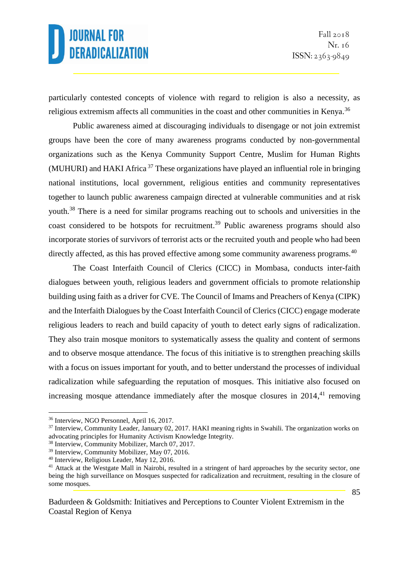particularly contested concepts of violence with regard to religion is also a necessity, as religious extremism affects all communities in the coast and other communities in Kenya.<sup>36</sup>

Public awareness aimed at discouraging individuals to disengage or not join extremist groups have been the core of many awareness programs conducted by non-governmental organizations such as the Kenya Community Support Centre, Muslim for Human Rights (MUHURI) and HAKI Africa  $37$  These organizations have played an influential role in bringing national institutions, local government, religious entities and community representatives together to launch public awareness campaign directed at vulnerable communities and at risk youth.<sup>38</sup> There is a need for similar programs reaching out to schools and universities in the coast considered to be hotspots for recruitment.<sup>39</sup> Public awareness programs should also incorporate stories of survivors of terrorist acts or the recruited youth and people who had been directly affected, as this has proved effective among some community awareness programs.<sup>40</sup>

The Coast Interfaith Council of Clerics (CICC) in Mombasa, conducts inter-faith dialogues between youth, religious leaders and government officials to promote relationship building using faith as a driver for CVE. The Council of Imams and Preachers of Kenya (CIPK) and the Interfaith Dialogues by the Coast Interfaith Council of Clerics (CICC) engage moderate religious leaders to reach and build capacity of youth to detect early signs of radicalization. They also train mosque monitors to systematically assess the quality and content of sermons and to observe mosque attendance. The focus of this initiative is to strengthen preaching skills with a focus on issues important for youth, and to better understand the processes of individual radicalization while safeguarding the reputation of mosques. This initiative also focused on increasing mosque attendance immediately after the mosque closures in 2014,<sup>41</sup> removing

<sup>36</sup> Interview, NGO Personnel, April 16, 2017.

<sup>&</sup>lt;sup>37</sup> Interview, Community Leader, January 02, 2017. HAKI meaning rights in Swahili. The organization works on advocating principles for Humanity Activism Knowledge Integrity.

<sup>38</sup> Interview, Community Mobilizer, March 07, 2017.

<sup>39</sup> Interview, Community Mobilizer, May 07, 2016.

<sup>40</sup> Interview, Religious Leader, May 12, 2016.

<sup>&</sup>lt;sup>41</sup> Attack at the Westgate Mall in Nairobi, resulted in a stringent of hard approaches by the security sector, one being the high surveillance on Mosques suspected for radicalization and recruitment, resulting in the closure of some mosques.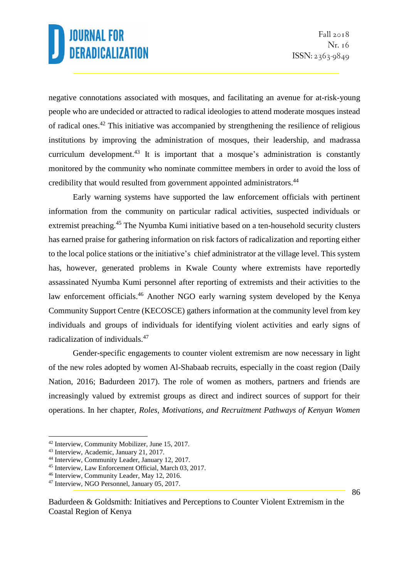negative connotations associated with mosques, and facilitating an avenue for at-risk-young people who are undecided or attracted to radical ideologies to attend moderate mosques instead of radical ones.<sup>42</sup> This initiative was accompanied by strengthening the resilience of religious institutions by improving the administration of mosques, their leadership, and madrassa curriculum development.<sup>43</sup> It is important that a mosque's administration is constantly monitored by the community who nominate committee members in order to avoid the loss of credibility that would resulted from government appointed administrators.<sup>44</sup>

Early warning systems have supported the law enforcement officials with pertinent information from the community on particular radical activities, suspected individuals or extremist preaching.<sup>45</sup> The Nyumba Kumi initiative based on a ten-household security clusters has earned praise for gathering information on risk factors of radicalization and reporting either to the local police stations or the initiative's chief administrator at the village level. This system has, however, generated problems in Kwale County where extremists have reportedly assassinated Nyumba Kumi personnel after reporting of extremists and their activities to the law enforcement officials.<sup>46</sup> Another NGO early warning system developed by the Kenya Community Support Centre (KECOSCE) gathers information at the community level from key individuals and groups of individuals for identifying violent activities and early signs of radicalization of individuals.<sup>47</sup>

Gender-specific engagements to counter violent extremism are now necessary in light of the new roles adopted by women Al-Shabaab recruits, especially in the coast region (Daily Nation, 2016; Badurdeen 2017). The role of women as mothers, partners and friends are increasingly valued by extremist groups as direct and indirect sources of support for their operations. In her chapter, *Roles, Motivations, and Recruitment Pathways of Kenyan Women* 

<sup>42</sup> Interview, Community Mobilizer, June 15, 2017.

<sup>43</sup> Interview, Academic, January 21, 2017.

<sup>44</sup> Interview, Community Leader, January 12, 2017.

<sup>45</sup> Interview, Law Enforcement Official, March 03, 2017.

<sup>46</sup> Interview, Community Leader, May 12, 2016.

<sup>47</sup> Interview, NGO Personnel, January 05, 2017.

Badurdeen & Goldsmith: Initiatives and Perceptions to Counter Violent Extremism in the Coastal Region of Kenya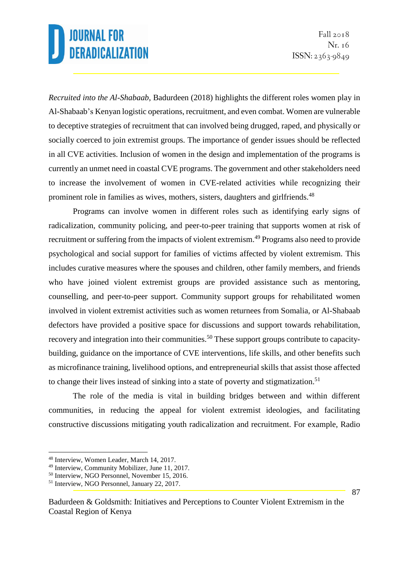*Recruited into the Al-Shabaab*, Badurdeen (2018) highlights the different roles women play in Al-Shabaab's Kenyan logistic operations, recruitment, and even combat. Women are vulnerable to deceptive strategies of recruitment that can involved being drugged, raped, and physically or socially coerced to join extremist groups. The importance of gender issues should be reflected in all CVE activities. Inclusion of women in the design and implementation of the programs is currently an unmet need in coastal CVE programs. The government and other stakeholders need to increase the involvement of women in CVE-related activities while recognizing their prominent role in families as wives, mothers, sisters, daughters and girlfriends.<sup>48</sup>

Programs can involve women in different roles such as identifying early signs of radicalization, community policing, and peer-to-peer training that supports women at risk of recruitment or suffering from the impacts of violent extremism.<sup>49</sup> Programs also need to provide psychological and social support for families of victims affected by violent extremism. This includes curative measures where the spouses and children, other family members, and friends who have joined violent extremist groups are provided assistance such as mentoring, counselling, and peer-to-peer support. Community support groups for rehabilitated women involved in violent extremist activities such as women returnees from Somalia, or Al-Shabaab defectors have provided a positive space for discussions and support towards rehabilitation, recovery and integration into their communities.<sup>50</sup> These support groups contribute to capacitybuilding, guidance on the importance of CVE interventions, life skills, and other benefits such as microfinance training, livelihood options, and entrepreneurial skills that assist those affected to change their lives instead of sinking into a state of poverty and stigmatization.<sup>51</sup>

The role of the media is vital in building bridges between and within different communities, in reducing the appeal for violent extremist ideologies, and facilitating constructive discussions mitigating youth radicalization and recruitment. For example, Radio

1

<sup>48</sup> Interview, Women Leader, March 14, 2017.

<sup>49</sup> Interview, Community Mobilizer, June 11, 2017.

<sup>50</sup> Interview, NGO Personnel, November 15, 2016.

<sup>51</sup> Interview, NGO Personnel, January 22, 2017.

Badurdeen & Goldsmith: Initiatives and Perceptions to Counter Violent Extremism in the Coastal Region of Kenya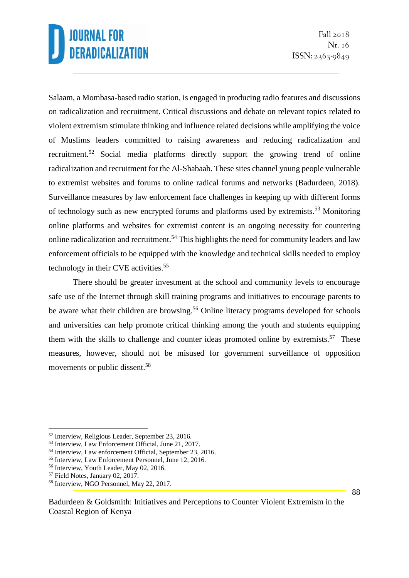Fall  $2018$ Nr. 16 ISSN: 2363-9849

Salaam, a Mombasa-based radio station, is engaged in producing radio features and discussions on radicalization and recruitment. Critical discussions and debate on relevant topics related to violent extremism stimulate thinking and influence related decisions while amplifying the voice of Muslims leaders committed to raising awareness and reducing radicalization and recruitment.<sup>52</sup> Social media platforms directly support the growing trend of online radicalization and recruitment for the Al-Shabaab. These sites channel young people vulnerable to extremist websites and forums to online radical forums and networks (Badurdeen, 2018). Surveillance measures by law enforcement face challenges in keeping up with different forms of technology such as new encrypted forums and platforms used by extremists.<sup>53</sup> Monitoring online platforms and websites for extremist content is an ongoing necessity for countering online radicalization and recruitment.<sup>54</sup> This highlights the need for community leaders and law enforcement officials to be equipped with the knowledge and technical skills needed to employ technology in their CVE activities. 55

There should be greater investment at the school and community levels to encourage safe use of the Internet through skill training programs and initiatives to encourage parents to be aware what their children are browsing.<sup>56</sup> Online literacy programs developed for schools and universities can help promote critical thinking among the youth and students equipping them with the skills to challenge and counter ideas promoted online by extremists.<sup>57</sup> These measures, however, should not be misused for government surveillance of opposition movements or public dissent.<sup>58</sup>

<sup>1</sup> <sup>52</sup> Interview, Religious Leader, September 23, 2016.

<sup>53</sup> Interview, Law Enforcement Official, June 21, 2017.

<sup>54</sup> Interview, Law enforcement Official, September 23, 2016.

<sup>55</sup> Interview, Law Enforcement Personnel, June 12, 2016.

<sup>56</sup> Interview, Youth Leader, May 02, 2016.

<sup>57</sup> Field Notes, January 02, 2017.

<sup>58</sup> Interview, NGO Personnel, May 22, 2017.

Badurdeen & Goldsmith: Initiatives and Perceptions to Counter Violent Extremism in the Coastal Region of Kenya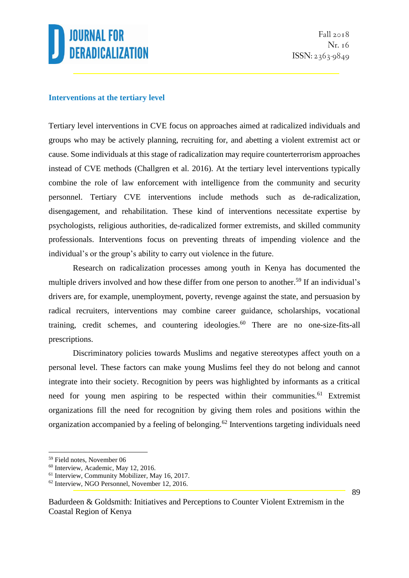

#### **Interventions at the tertiary level**

Tertiary level interventions in CVE focus on approaches aimed at radicalized individuals and groups who may be actively planning, recruiting for, and abetting a violent extremist act or cause. Some individuals at this stage of radicalization may require counterterrorism approaches instead of CVE methods (Challgren et al. 2016). At the tertiary level interventions typically combine the role of law enforcement with intelligence from the community and security personnel. Tertiary CVE interventions include methods such as de-radicalization, disengagement, and rehabilitation. These kind of interventions necessitate expertise by psychologists, religious authorities, de-radicalized former extremists, and skilled community professionals. Interventions focus on preventing threats of impending violence and the individual's or the group's ability to carry out violence in the future.

Research on radicalization processes among youth in Kenya has documented the multiple drivers involved and how these differ from one person to another.<sup>59</sup> If an individual's drivers are, for example, unemployment, poverty, revenge against the state, and persuasion by radical recruiters, interventions may combine career guidance, scholarships, vocational training, credit schemes, and countering ideologies.<sup>60</sup> There are no one-size-fits-all prescriptions.

Discriminatory policies towards Muslims and negative stereotypes affect youth on a personal level. These factors can make young Muslims feel they do not belong and cannot integrate into their society. Recognition by peers was highlighted by informants as a critical need for young men aspiring to be respected within their communities.<sup>61</sup> Extremist organizations fill the need for recognition by giving them roles and positions within the organization accompanied by a feeling of belonging.<sup>62</sup> Interventions targeting individuals need

<sup>59</sup> Field notes, November 06

<sup>60</sup> Interview, Academic, May 12, 2016.

<sup>61</sup> Interview, Community Mobilizer, May 16, 2017.

<sup>62</sup> Interview, NGO Personnel, November 12, 2016.

Badurdeen & Goldsmith: Initiatives and Perceptions to Counter Violent Extremism in the Coastal Region of Kenya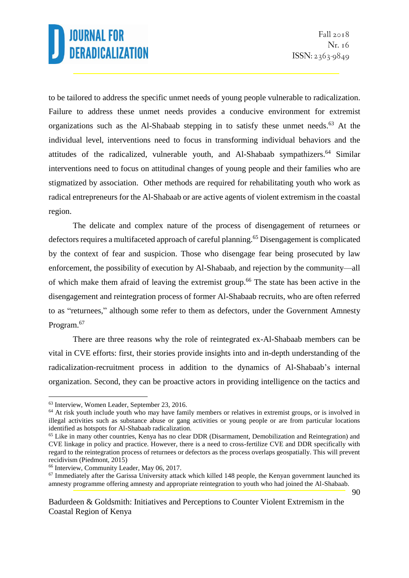to be tailored to address the specific unmet needs of young people vulnerable to radicalization. Failure to address these unmet needs provides a conducive environment for extremist organizations such as the Al-Shabaab stepping in to satisfy these unmet needs.<sup>63</sup> At the individual level, interventions need to focus in transforming individual behaviors and the attitudes of the radicalized, vulnerable youth, and Al-Shabaab sympathizers. <sup>64</sup> Similar interventions need to focus on attitudinal changes of young people and their families who are stigmatized by association. Other methods are required for rehabilitating youth who work as radical entrepreneurs for the Al-Shabaab or are active agents of violent extremism in the coastal region.

The delicate and complex nature of the process of disengagement of returnees or defectors requires a multifaceted approach of careful planning.<sup>65</sup> Disengagement is complicated by the context of fear and suspicion. Those who disengage fear being prosecuted by law enforcement, the possibility of execution by Al-Shabaab, and rejection by the community—all of which make them afraid of leaving the extremist group.<sup>66</sup> The state has been active in the disengagement and reintegration process of former Al-Shabaab recruits, who are often referred to as "returnees," although some refer to them as defectors, under the Government Amnesty Program.<sup>67</sup>

There are three reasons why the role of reintegrated ex-Al-Shabaab members can be vital in CVE efforts: first, their stories provide insights into and in-depth understanding of the radicalization-recruitment process in addition to the dynamics of Al-Shabaab's internal organization. Second, they can be proactive actors in providing intelligence on the tactics and

<sup>63</sup> Interview, Women Leader, September 23, 2016.

<sup>&</sup>lt;sup>64</sup> At risk youth include youth who may have family members or relatives in extremist groups, or is involved in illegal activities such as substance abuse or gang activities or young people or are from particular locations identified as hotspots for Al-Shabaab radicalization.

<sup>65</sup> Like in many other countries, Kenya has no clear DDR (Disarmament, Demobilization and Reintegration) and CVE linkage in policy and practice. However, there is a need to cross-fertilize CVE and DDR specifically with regard to the reintegration process of returnees or defectors as the process overlaps geospatially. This will prevent recidivism (Piedmont, 2015)

<sup>66</sup> Interview, Community Leader, May 06, 2017.

<sup>67</sup> Immediately after the Garissa University attack which killed 148 people, the Kenyan government launched its amnesty programme offering amnesty and appropriate reintegration to youth who had joined the Al-Shabaab.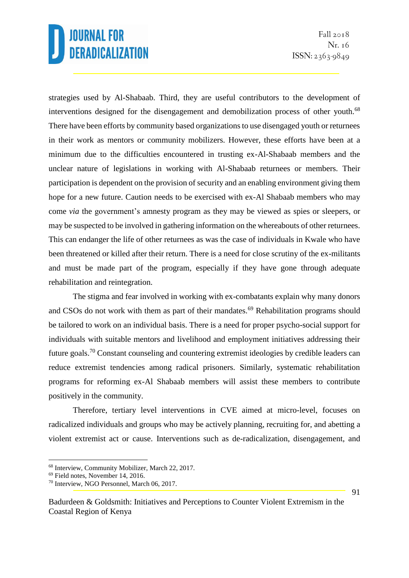strategies used by Al-Shabaab. Third, they are useful contributors to the development of interventions designed for the disengagement and demobilization process of other youth.<sup>68</sup> There have been efforts by community based organizations to use disengaged youth or returnees in their work as mentors or community mobilizers. However, these efforts have been at a minimum due to the difficulties encountered in trusting ex-Al-Shabaab members and the unclear nature of legislations in working with Al-Shabaab returnees or members. Their participation is dependent on the provision of security and an enabling environment giving them hope for a new future. Caution needs to be exercised with ex-Al Shabaab members who may come *via* the government's amnesty program as they may be viewed as spies or sleepers, or may be suspected to be involved in gathering information on the whereabouts of other returnees. This can endanger the life of other returnees as was the case of individuals in Kwale who have been threatened or killed after their return. There is a need for close scrutiny of the ex-militants and must be made part of the program, especially if they have gone through adequate rehabilitation and reintegration.

The stigma and fear involved in working with ex-combatants explain why many donors and CSOs do not work with them as part of their mandates.<sup>69</sup> Rehabilitation programs should be tailored to work on an individual basis. There is a need for proper psycho-social support for individuals with suitable mentors and livelihood and employment initiatives addressing their future goals.<sup>70</sup> Constant counseling and countering extremist ideologies by credible leaders can reduce extremist tendencies among radical prisoners. Similarly, systematic rehabilitation programs for reforming ex-Al Shabaab members will assist these members to contribute positively in the community.

Therefore, tertiary level interventions in CVE aimed at micro-level, focuses on radicalized individuals and groups who may be actively planning, recruiting for, and abetting a violent extremist act or cause. Interventions such as de-radicalization, disengagement, and

<sup>68</sup> Interview, Community Mobilizer, March 22, 2017.

<sup>69</sup> Field notes, November 14, 2016.

<sup>70</sup> Interview, NGO Personnel, March 06, 2017.

Badurdeen & Goldsmith: Initiatives and Perceptions to Counter Violent Extremism in the Coastal Region of Kenya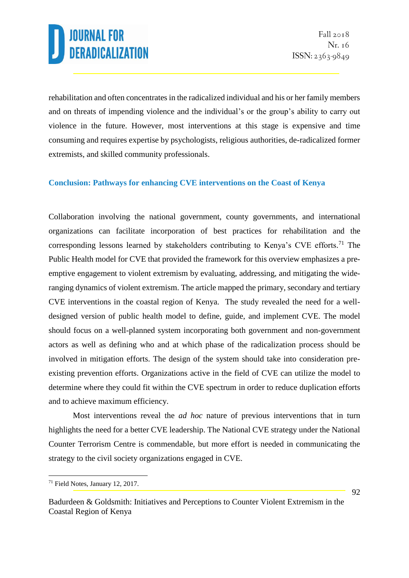rehabilitation and often concentrates in the radicalized individual and his or her family members and on threats of impending violence and the individual's or the group's ability to carry out violence in the future. However, most interventions at this stage is expensive and time consuming and requires expertise by psychologists, religious authorities, de-radicalized former extremists, and skilled community professionals.

### **Conclusion: Pathways for enhancing CVE interventions on the Coast of Kenya**

Collaboration involving the national government, county governments, and international organizations can facilitate incorporation of best practices for rehabilitation and the corresponding lessons learned by stakeholders contributing to Kenya's CVE efforts.<sup>71</sup> The Public Health model for CVE that provided the framework for this overview emphasizes a preemptive engagement to violent extremism by evaluating, addressing, and mitigating the wideranging dynamics of violent extremism. The article mapped the primary, secondary and tertiary CVE interventions in the coastal region of Kenya. The study revealed the need for a welldesigned version of public health model to define, guide, and implement CVE. The model should focus on a well-planned system incorporating both government and non-government actors as well as defining who and at which phase of the radicalization process should be involved in mitigation efforts. The design of the system should take into consideration preexisting prevention efforts. Organizations active in the field of CVE can utilize the model to determine where they could fit within the CVE spectrum in order to reduce duplication efforts and to achieve maximum efficiency.

Most interventions reveal the *ad hoc* nature of previous interventions that in turn highlights the need for a better CVE leadership. The National CVE strategy under the National Counter Terrorism Centre is commendable, but more effort is needed in communicating the strategy to the civil society organizations engaged in CVE.

<sup>71</sup> Field Notes, January 12, 2017.

Badurdeen & Goldsmith: Initiatives and Perceptions to Counter Violent Extremism in the Coastal Region of Kenya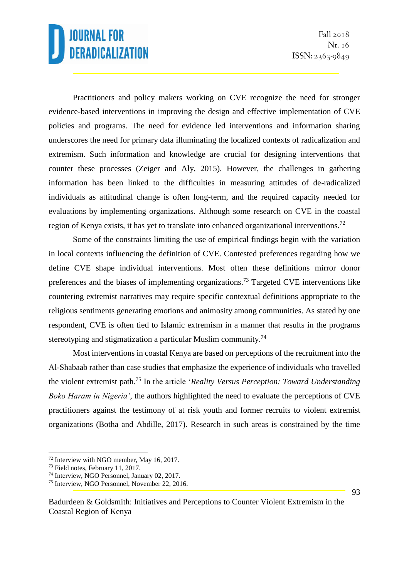Practitioners and policy makers working on CVE recognize the need for stronger evidence-based interventions in improving the design and effective implementation of CVE policies and programs. The need for evidence led interventions and information sharing underscores the need for primary data illuminating the localized contexts of radicalization and extremism. Such information and knowledge are crucial for designing interventions that counter these processes (Zeiger and Aly, 2015). However, the challenges in gathering information has been linked to the difficulties in measuring attitudes of de-radicalized individuals as attitudinal change is often long-term, and the required capacity needed for evaluations by implementing organizations. Although some research on CVE in the coastal region of Kenya exists, it has yet to translate into enhanced organizational interventions.<sup>72</sup>

Some of the constraints limiting the use of empirical findings begin with the variation in local contexts influencing the definition of CVE. Contested preferences regarding how we define CVE shape individual interventions. Most often these definitions mirror donor preferences and the biases of implementing organizations.<sup>73</sup> Targeted CVE interventions like countering extremist narratives may require specific contextual definitions appropriate to the religious sentiments generating emotions and animosity among communities. As stated by one respondent, CVE is often tied to Islamic extremism in a manner that results in the programs stereotyping and stigmatization a particular Muslim community.<sup>74</sup>

Most interventions in coastal Kenya are based on perceptions of the recruitment into the Al-Shabaab rather than case studies that emphasize the experience of individuals who travelled the violent extremist path.<sup>75</sup> In the article '*Reality Versus Perception: Toward Understanding Boko Haram in Nigeria'*, the authors highlighted the need to evaluate the perceptions of CVE practitioners against the testimony of at risk youth and former recruits to violent extremist organizations (Botha and Abdille, 2017). Research in such areas is constrained by the time

<sup>72</sup> Interview with NGO member, May 16, 2017.

<sup>73</sup> Field notes, February 11, 2017.

<sup>74</sup> Interview, NGO Personnel, January 02, 2017.

<sup>75</sup> Interview, NGO Personnel, November 22, 2016.

Badurdeen & Goldsmith: Initiatives and Perceptions to Counter Violent Extremism in the Coastal Region of Kenya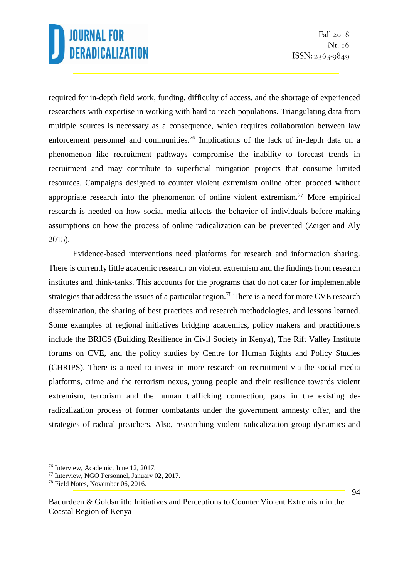required for in-depth field work, funding, difficulty of access, and the shortage of experienced researchers with expertise in working with hard to reach populations. Triangulating data from multiple sources is necessary as a consequence, which requires collaboration between law enforcement personnel and communities.<sup>76</sup> Implications of the lack of in-depth data on a phenomenon like recruitment pathways compromise the inability to forecast trends in recruitment and may contribute to superficial mitigation projects that consume limited resources. Campaigns designed to counter violent extremism online often proceed without appropriate research into the phenomenon of online violent extremism.<sup>77</sup> More empirical research is needed on how social media affects the behavior of individuals before making assumptions on how the process of online radicalization can be prevented (Zeiger and Aly 2015).

Evidence-based interventions need platforms for research and information sharing. There is currently little academic research on violent extremism and the findings from research institutes and think-tanks. This accounts for the programs that do not cater for implementable strategies that address the issues of a particular region.<sup>78</sup> There is a need for more CVE research dissemination, the sharing of best practices and research methodologies, and lessons learned. Some examples of regional initiatives bridging academics, policy makers and practitioners include the BRICS (Building Resilience in Civil Society in Kenya), The Rift Valley Institute forums on CVE, and the policy studies by Centre for Human Rights and Policy Studies (CHRIPS). There is a need to invest in more research on recruitment via the social media platforms, crime and the terrorism nexus, young people and their resilience towards violent extremism, terrorism and the human trafficking connection, gaps in the existing deradicalization process of former combatants under the government amnesty offer, and the strategies of radical preachers. Also, researching violent radicalization group dynamics and

<sup>76</sup> Interview, Academic, June 12, 2017.

<sup>77</sup> Interview, NGO Personnel, January 02, 2017.

<sup>78</sup> Field Notes, November 06, 2016.

Badurdeen & Goldsmith: Initiatives and Perceptions to Counter Violent Extremism in the Coastal Region of Kenya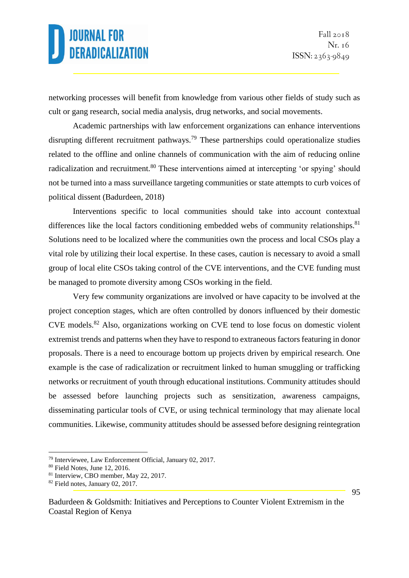networking processes will benefit from knowledge from various other fields of study such as cult or gang research, social media analysis, drug networks, and social movements.

Academic partnerships with law enforcement organizations can enhance interventions disrupting different recruitment pathways.<sup>79</sup> These partnerships could operationalize studies related to the offline and online channels of communication with the aim of reducing online radicalization and recruitment.<sup>80</sup> These interventions aimed at intercepting 'or spying' should not be turned into a mass surveillance targeting communities or state attempts to curb voices of political dissent (Badurdeen, 2018)

Interventions specific to local communities should take into account contextual differences like the local factors conditioning embedded webs of community relationships.<sup>81</sup> Solutions need to be localized where the communities own the process and local CSOs play a vital role by utilizing their local expertise. In these cases, caution is necessary to avoid a small group of local elite CSOs taking control of the CVE interventions, and the CVE funding must be managed to promote diversity among CSOs working in the field.

Very few community organizations are involved or have capacity to be involved at the project conception stages, which are often controlled by donors influenced by their domestic CVE models.<sup>82</sup> Also, organizations working on CVE tend to lose focus on domestic violent extremist trends and patterns when they have to respond to extraneous factors featuring in donor proposals. There is a need to encourage bottom up projects driven by empirical research. One example is the case of radicalization or recruitment linked to human smuggling or trafficking networks or recruitment of youth through educational institutions. Community attitudes should be assessed before launching projects such as sensitization, awareness campaigns, disseminating particular tools of CVE, or using technical terminology that may alienate local communities. Likewise, community attitudes should be assessed before designing reintegration

<sup>79</sup> Interviewee, Law Enforcement Official, January 02, 2017.

<sup>80</sup> Field Notes, June 12, 2016.

<sup>81</sup> Interview, CBO member, May 22, 2017.

<sup>82</sup> Field notes, January 02, 2017.

Badurdeen & Goldsmith: Initiatives and Perceptions to Counter Violent Extremism in the Coastal Region of Kenya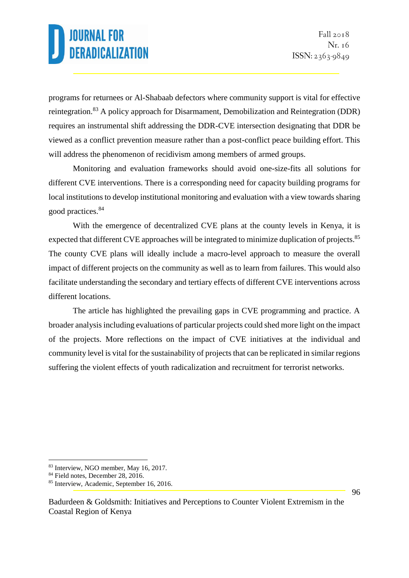programs for returnees or Al-Shabaab defectors where community support is vital for effective reintegration.<sup>83</sup> A policy approach for Disarmament, Demobilization and Reintegration (DDR) requires an instrumental shift addressing the DDR-CVE intersection designating that DDR be viewed as a conflict prevention measure rather than a post-conflict peace building effort. This will address the phenomenon of recidivism among members of armed groups.

Monitoring and evaluation frameworks should avoid one-size-fits all solutions for different CVE interventions. There is a corresponding need for capacity building programs for local institutions to develop institutional monitoring and evaluation with a view towards sharing good practices.<sup>84</sup>

With the emergence of decentralized CVE plans at the county levels in Kenya, it is expected that different CVE approaches will be integrated to minimize duplication of projects.<sup>85</sup> The county CVE plans will ideally include a macro-level approach to measure the overall impact of different projects on the community as well as to learn from failures. This would also facilitate understanding the secondary and tertiary effects of different CVE interventions across different locations.

The article has highlighted the prevailing gaps in CVE programming and practice. A broader analysis including evaluations of particular projects could shed more light on the impact of the projects. More reflections on the impact of CVE initiatives at the individual and community level is vital for the sustainability of projects that can be replicated in similar regions suffering the violent effects of youth radicalization and recruitment for terrorist networks.

<sup>&</sup>lt;u>.</u> <sup>83</sup> Interview, NGO member, May 16, 2017.

<sup>&</sup>lt;sup>84</sup> Field notes, December 28, 2016.

<sup>85</sup> Interview, Academic, September 16, 2016.

Badurdeen & Goldsmith: Initiatives and Perceptions to Counter Violent Extremism in the Coastal Region of Kenya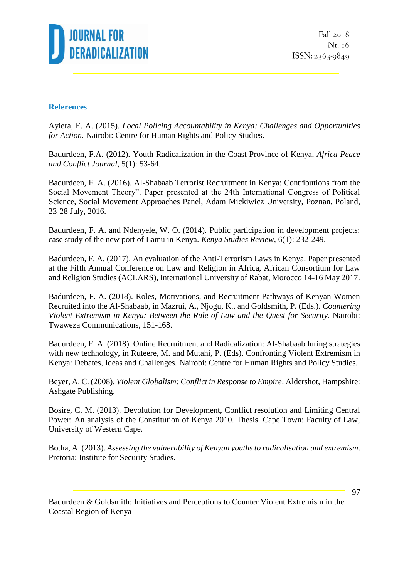

Fall  $2018$ Nr. 16 ISSN: 2363-9849

#### **References**

Ayiera, E. A. (2015). *Local Policing Accountability in Kenya: Challenges and Opportunities for Action.* Nairobi: Centre for Human Rights and Policy Studies.

Badurdeen, F.A. (2012). Youth Radicalization in the Coast Province of Kenya, *Africa Peace and Conflict Journal*, 5(1): 53-64.

Badurdeen, F. A. (2016). Al-Shabaab Terrorist Recruitment in Kenya: Contributions from the Social Movement Theory". Paper presented at the 24th International Congress of Political Science, Social Movement Approaches Panel, Adam Mickiwicz University, Poznan, Poland, 23-28 July, 2016.

Badurdeen, F. A. and Ndenyele, W. O. (2014). Public participation in development projects: case study of the new port of Lamu in Kenya. *Kenya Studies Review*, 6(1): 232-249.

Badurdeen, F. A. (2017). An evaluation of the Anti-Terrorism Laws in Kenya. Paper presented at the Fifth Annual Conference on Law and Religion in Africa, African Consortium for Law and Religion Studies (ACLARS), International University of Rabat, Morocco 14-16 May 2017.

Badurdeen, F. A. (2018). Roles, Motivations, and Recruitment Pathways of Kenyan Women Recruited into the Al-Shabaab, in Mazrui, A., Njogu, K., and Goldsmith, P. (Eds.). *Countering Violent Extremism in Kenya: Between the Rule of Law and the Quest for Security.* Nairobi: Twaweza Communications, 151-168.

Badurdeen, F. A. (2018). Online Recruitment and Radicalization: Al-Shabaab luring strategies with new technology, in Ruteere, M. and Mutahi, P. (Eds). Confronting Violent Extremism in Kenya: Debates, Ideas and Challenges. Nairobi: Centre for Human Rights and Policy Studies.

Beyer, A. C. (2008). *Violent Globalism: Conflict in Response to Empire*. Aldershot, Hampshire: Ashgate Publishing.

Bosire, C. M. (2013). Devolution for Development, Conflict resolution and Limiting Central Power: An analysis of the Constitution of Kenya 2010. Thesis. Cape Town: Faculty of Law, University of Western Cape.

Botha, A. (2013). *Assessing the vulnerability of Kenyan youths to radicalisation and extremism*. Pretoria: Institute for Security Studies.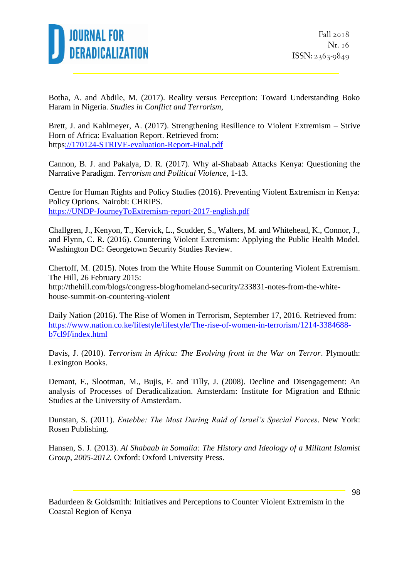

Botha, A. and Abdile, M. (2017). Reality versus Perception: Toward Understanding Boko Haram in Nigeria. *Studies in Conflict and Terrorism*,

Brett, J. and Kahlmeyer, A. (2017). Strengthening Resilience to Violent Extremism – Strive Horn of Africa: Evaluation Report. Retrieved from: http[s://170124-STRIVE-evaluation-Report-Final.pdf](file:///C:/HP/Downloads/Documents/170124-STRIVE-evaluation-Report-Final.pdf)

Cannon, B. J. and Pakalya, D. R. (2017). Why al-Shabaab Attacks Kenya: Questioning the Narrative Paradigm. *Terrorism and Political Violence*, 1-13.

Centre for Human Rights and Policy Studies (2016). Preventing Violent Extremism in Kenya: Policy Options. Nairobi: CHRIPS. [https://UNDP-JourneyToExtremism-report-2017-english.pdf](https://undp-journeytoextremism-report-2017-english.pdf/)

Challgren, J., Kenyon, T., Kervick, L., Scudder, S., Walters, M. and Whitehead, K., Connor, J., and Flynn, C. R. (2016). Countering Violent Extremism: Applying the Public Health Model. Washington DC: Georgetown Security Studies Review.

Chertoff, M. (2015). Notes from the White House Summit on Countering Violent Extremism. The Hill, 26 February 2015:

http://thehill.com/blogs/congress-blog/homeland-security/233831-notes-from-the-whitehouse-summit-on-countering-violent

Daily Nation (2016). The Rise of Women in Terrorism, September 17, 2016. Retrieved from: [https://www.nation.co.ke/lifestyle/lifestyle/The-rise-of-women-in-terrorism/1214-3384688](https://www.nation.co.ke/lifestyle/lifestyle/The-rise-of-women-in-terrorism/1214-3384688-b7cl9f/index.html) [b7cl9f/index.html](https://www.nation.co.ke/lifestyle/lifestyle/The-rise-of-women-in-terrorism/1214-3384688-b7cl9f/index.html)

Davis, J. (2010). *Terrorism in Africa: The Evolving front in the War on Terror*. Plymouth: Lexington Books.

Demant, F., Slootman, M., Bujis, F. and Tilly, J. (2008). Decline and Disengagement: An analysis of Processes of Deradicalization. Amsterdam: Institute for Migration and Ethnic Studies at the University of Amsterdam.

Dunstan, S. (2011). *Entebbe: The Most Daring Raid of Israel's Special Forces*. New York: Rosen Publishing.

Hansen, S. J. (2013). *Al Shabaab in Somalia: The History and Ideology of a Militant Islamist Group, 2005-2012.* Oxford: Oxford University Press.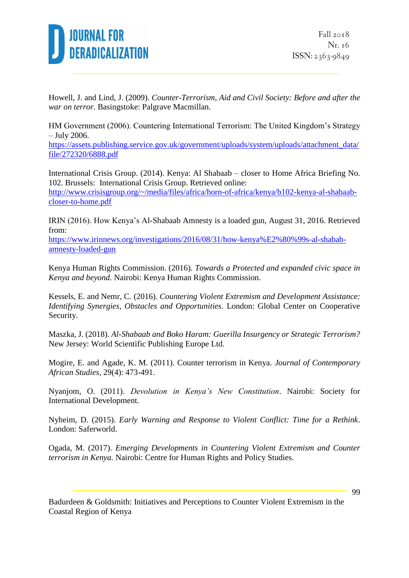

Howell, J. and Lind, J. (2009). *Counter-Terrorism, Aid and Civil Society: Before and after the war on terror*. Basingstoke: Palgrave Macmillan.

HM Government (2006). Countering International Terrorism: The United Kingdom's Strategy – July 2006.

[https://assets.publishing.service.gov.uk/government/uploads/system/uploads/attachment\\_data/](https://assets.publishing.service.gov.uk/government/uploads/system/uploads/attachment_data/file/272320/6888.pdf) [file/272320/6888.pdf](https://assets.publishing.service.gov.uk/government/uploads/system/uploads/attachment_data/file/272320/6888.pdf)

International Crisis Group. (2014). Kenya: Al Shabaab – closer to Home Africa Briefing No. 102. Brussels: International Crisis Group. Retrieved online: [http://www.crisisgroup.org/~/media/files/africa/horn-of-africa/kenya/b102-kenya-al-shabaab](http://www.crisisgroup.org/~/media/files/africa/horn-of-africa/kenya/b102-kenya-al-shabaab-closer-to-home.pdf)[closer-to-home.pdf](http://www.crisisgroup.org/~/media/files/africa/horn-of-africa/kenya/b102-kenya-al-shabaab-closer-to-home.pdf)

IRIN (2016). How Kenya's Al-Shabaab Amnesty is a loaded gun, August 31, 2016. Retrieved from:

[https://www.irinnews.org/investigations/2016/08/31/how-kenya%E2%80%99s-al-shabab](https://www.irinnews.org/investigations/2016/08/31/how-kenya%E2%80%99s-al-shabab-amnesty-loaded-gun)[amnesty-loaded-gun](https://www.irinnews.org/investigations/2016/08/31/how-kenya%E2%80%99s-al-shabab-amnesty-loaded-gun)

Kenya Human Rights Commission. (2016). *Towards a Protected and expanded civic space in Kenya and beyond.* Nairobi: Kenya Human Rights Commission.

Kessels, E. and Nemr, C. (2016). *Countering Violent Extremism and Development Assistance: Identifying Synergies, Obstacles and Opportunities*. London: Global Center on Cooperative Security.

Maszka, J. (2018). *Al-Shabaab and Boko Haram: Guerilla Insurgency or Strategic Terrorism?* New Jersey: World Scientific Publishing Europe Ltd.

Mogire, E. and Agade, K. M. (2011). Counter terrorism in Kenya. *Journal of Contemporary African Studies,* 29(4): 473-491.

Nyanjom, O. (2011). *Devolution in Kenya's New Constitution*. Nairobi: Society for International Development.

Nyheim, D. (2015). *Early Warning and Response to Violent Conflict: Time for a Rethink*. London: Saferworld.

Ogada, M. (2017). *Emerging Developments in Countering Violent Extremism and Counter terrorism in Kenya.* Nairobi: Centre for Human Rights and Policy Studies.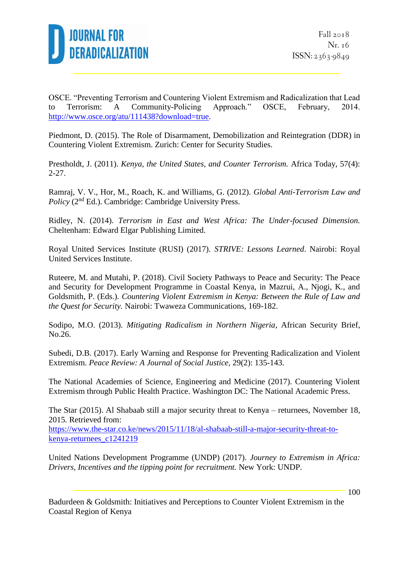

OSCE. "Preventing Terrorism and Countering Violent Extremism and Radicalization that Lead to Terrorism: A Community-Policing Approach." OSCE, February, 2014. [http://www.osce.org/atu/111438?download=true.](http://www.osce.org/atu/111438?download=true)

Piedmont, D. (2015). The Role of Disarmament, Demobilization and Reintegration (DDR) in Countering Violent Extremism. Zurich: Center for Security Studies.

Prestholdt, J. (2011). *Kenya, the United States, and Counter Terrorism.* Africa Today, 57(4): 2-27.

Ramraj, V. V., Hor, M., Roach, K. and Williams, G. (2012). *Global Anti-Terrorism Law and Policy* (2<sup>nd</sup> Ed.). Cambridge: Cambridge University Press.

Ridley, N. (2014). *Terrorism in East and West Africa: The Under-focused Dimension.* Cheltenham: Edward Elgar Publishing Limited.

Royal United Services Institute (RUSI) (2017). *STRIVE: Lessons Learned*. Nairobi: Royal United Services Institute.

Ruteere, M. and Mutahi, P. (2018). Civil Society Pathways to Peace and Security: The Peace and Security for Development Programme in Coastal Kenya, in Mazrui, A., Njogi, K., and Goldsmith, P. (Eds.). *Countering Violent Extremism in Kenya: Between the Rule of Law and the Quest for Security.* Nairobi: Twaweza Communications, 169-182.

Sodipo, M.O. (2013). *Mitigating Radicalism in Northern Nigeria*, African Security Brief, No.26.

Subedi, D.B. (2017). Early Warning and Response for Preventing Radicalization and Violent Extremism. *Peace Review: A Journal of Social Justice,* 29(2): 135-143.

The National Academies of Science, Engineering and Medicine (2017). Countering Violent Extremism through Public Health Practice. Washington DC: The National Academic Press.

The Star (2015). Al Shabaab still a major security threat to Kenya – returnees, November 18, 2015. Retrieved from:

[https://www.the-star.co.ke/news/2015/11/18/al-shabaab-still-a-major-security-threat-to](https://www.the-star.co.ke/news/2015/11/18/al-shabaab-still-a-major-security-threat-to-kenya-returnees_c1241219)[kenya-returnees\\_c1241219](https://www.the-star.co.ke/news/2015/11/18/al-shabaab-still-a-major-security-threat-to-kenya-returnees_c1241219)

United Nations Development Programme (UNDP) (2017). *Journey to Extremism in Africa: Drivers, Incentives and the tipping point for recruitment.* New York: UNDP.

Badurdeen & Goldsmith: Initiatives and Perceptions to Counter Violent Extremism in the Coastal Region of Kenya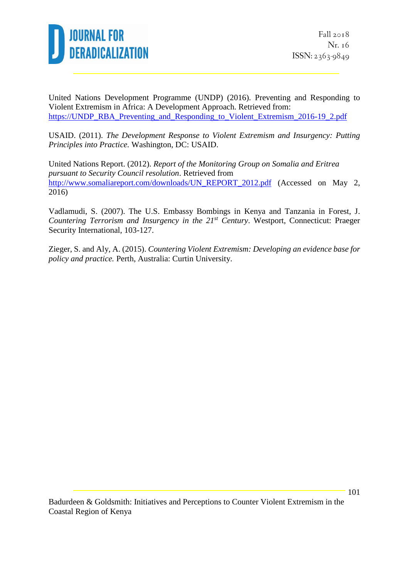

United Nations Development Programme (UNDP) (2016). Preventing and Responding to Violent Extremism in Africa: A Development Approach. Retrieved from: [https://UNDP\\_RBA\\_Preventing\\_and\\_Responding\\_to\\_Violent\\_Extremism\\_2016-19\\_2.pdf](https://undp_rba_preventing_and_responding_to_violent_extremism_2016-19_2.pdf/)

USAID. (2011). *The Development Response to Violent Extremism and Insurgency: Putting Principles into Practice.* Washington, DC: USAID.

United Nations Report. (2012). *Report of the Monitoring Group on Somalia and Eritrea pursuant to Security Council resolution*. Retrieved from [http://www.somaliareport.com/downloads/UN\\_REPORT\\_2012.pdf](http://www.somaliareport.com/downloads/UN_REPORT_2012.pdf) (Accessed on May 2, 2016)

Vadlamudi, S. (2007). The U.S. Embassy Bombings in Kenya and Tanzania in Forest, J. *Countering Terrorism and Insurgency in the 21st Century*. Westport, Connecticut: Praeger Security International, 103-127.

Zieger, S. and Aly, A. (2015). *Countering Violent Extremism: Developing an evidence base for policy and practice.* Perth, Australia: Curtin University.